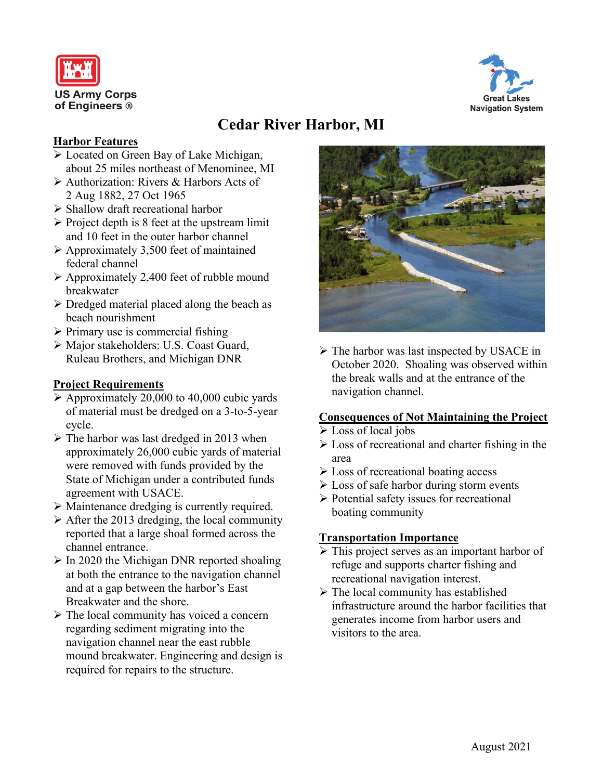



# **Cedar River Harbor, MI**

#### **Harbor Features**

- Located on Green Bay of Lake Michigan, about 25 miles northeast of Menominee, MI
- Authorization: Rivers & Harbors Acts of 2 Aug 1882, 27 Oct 1965
- $\triangleright$  Shallow draft recreational harbor
- $\triangleright$  Project depth is 8 feet at the upstream limit and 10 feet in the outer harbor channel
- $\triangleright$  Approximately 3,500 feet of maintained federal channel
- $\triangleright$  Approximately 2,400 feet of rubble mound breakwater
- $\triangleright$  Dredged material placed along the beach as beach nourishment
- $\triangleright$  Primary use is commercial fishing
- Major stakeholders: U.S. Coast Guard, Ruleau Brothers, and Michigan DNR

### **Project Requirements**

- $\triangleright$  Approximately 20,000 to 40,000 cubic yards of material must be dredged on a 3-to-5-year cycle.
- $\triangleright$  The harbor was last dredged in 2013 when approximately 26,000 cubic yards of material were removed with funds provided by the State of Michigan under a contributed funds agreement with USACE.
- Maintenance dredging is currently required.
- $\triangleright$  After the 2013 dredging, the local community reported that a large shoal formed across the channel entrance.
- $\triangleright$  In 2020 the Michigan DNR reported shoaling at both the entrance to the navigation channel and at a gap between the harbor's East Breakwater and the shore.
- $\triangleright$  The local community has voiced a concern regarding sediment migrating into the navigation channel near the east rubble mound breakwater. Engineering and design is required for repairs to the structure.



 $\triangleright$  The harbor was last inspected by USACE in October 2020. Shoaling was observed within the break walls and at the entrance of the navigation channel.

#### **Consequences of Not Maintaining the Project**

- $\triangleright$  Loss of local jobs
- Loss of recreational and charter fishing in the area
- $\triangleright$  Loss of recreational boating access
- $\triangleright$  Loss of safe harbor during storm events
- $\triangleright$  Potential safety issues for recreational boating community

#### **Transportation Importance**

- This project serves as an important harbor of refuge and supports charter fishing and recreational navigation interest.
- $\triangleright$  The local community has established infrastructure around the harbor facilities that generates income from harbor users and visitors to the area.